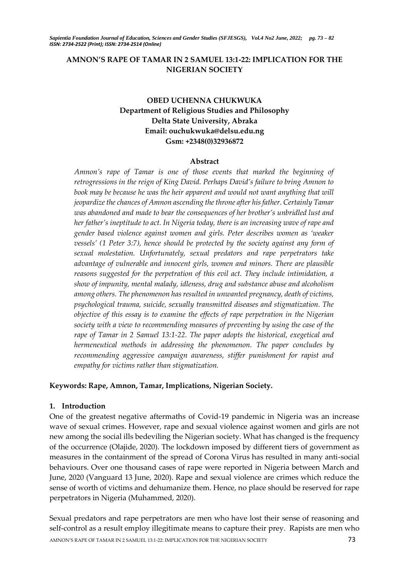# **AMNON'S RAPE OF TAMAR IN 2 SAMUEL 13:1-22: IMPLICATION FOR THE NIGERIAN SOCIETY**

# **OBED UCHENNA CHUKWUKA Department of Religious Studies and Philosophy Delta State University, Abraka Email: ouchukwuka@delsu.edu.ng Gsm: +2348(0)32936872**

### **Abstract**

*Amnon's rape of Tamar is one of those events that marked the beginning of retrogressions in the reign of King David. Perhaps David's failure to bring Amnon to*  book may be because he was the heir apparent and would not want anything that will *jeopardize the chances of Amnon ascending the throne after his father. Certainly Tamar was abandoned and made to bear the consequences of her brother's unbridled lust and her father's ineptitude to act. In Nigeria today, there is an increasing wave of rape and gender based violence against women and girls. Peter describes women as 'weaker vessels' (1 Peter 3:7), hence should be protected by the society against any form of sexual molestation. Unfortunately, sexual predators and rape perpetrators take advantage of vulnerable and innocent girls, women and minors. There are plausible reasons suggested for the perpetration of this evil act. They include intimidation, a show of impunity, mental malady, idleness, drug and substance abuse and alcoholism among others. The phenomenon has resulted in unwanted pregnancy, death of victims, psychological trauma, suicide, sexually transmitted diseases and stigmatization. The objective of this essay is to examine the effects of rape perpetration in the Nigerian society with a view to recommending measures of preventing by using the case of the rape of Tamar in 2 Samuel 13:1-22. The paper adopts the historical, exegetical and hermeneutical methods in addressing the phenomenon. The paper concludes by recommending aggressive campaign awareness, stiffer punishment for rapist and empathy for victims rather than stigmatization.*

## **Keywords: Rape, Amnon, Tamar, Implications, Nigerian Society.**

### **1. Introduction**

One of the greatest negative aftermaths of Covid-19 pandemic in Nigeria was an increase wave of sexual crimes. However, rape and sexual violence against women and girls are not new among the social ills bedeviling the Nigerian society. What has changed is the frequency of the occurrence (Olajide, 2020). The lockdown imposed by different tiers of government as measures in the containment of the spread of Corona Virus has resulted in many anti-social behaviours. Over one thousand cases of rape were reported in Nigeria between March and June, 2020 (Vanguard 13 June, 2020). Rape and sexual violence are crimes which reduce the sense of worth of victims and dehumanize them. Hence, no place should be reserved for rape perpetrators in Nigeria (Muhammed, 2020).

AMNON'S RAPE OF TAMAR IN 2 SAMUEL 13:1-22: IMPLICATION FOR THE NIGERIAN SOCIETY **73** Sexual predators and rape perpetrators are men who have lost their sense of reasoning and self-control as a result employ illegitimate means to capture their prey. Rapists are men who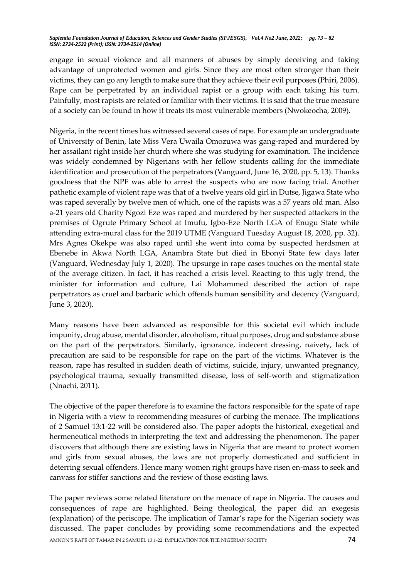engage in sexual violence and all manners of abuses by simply deceiving and taking advantage of unprotected women and girls. Since they are most often stronger than their victims, they can go any length to make sure that they achieve their evil purposes (Phiri, 2006). Rape can be perpetrated by an individual rapist or a group with each taking his turn. Painfully, most rapists are related or familiar with their victims. It is said that the true measure of a society can be found in how it treats its most vulnerable members (Nwokeocha, 2009).

Nigeria, in the recent times has witnessed several cases of rape. For example an undergraduate of University of Benin, late Miss Vera Uwaila Omozuwa was gang-raped and murdered by her assailant right inside her church where she was studying for examination. The incidence was widely condemned by Nigerians with her fellow students calling for the immediate identification and prosecution of the perpetrators (Vanguard, June 16, 2020, pp. 5, 13). Thanks goodness that the NPF was able to arrest the suspects who are now facing trial. Another pathetic example of violent rape was that of a twelve years old girl in Dutse, Jigawa State who was raped severally by twelve men of which, one of the rapists was a 57 years old man. Also a-21 years old Charity Ngozi Eze was raped and murdered by her suspected attackers in the premises of Ogrute Primary School at Imufu, Igbo-Eze North LGA of Enugu State while attending extra-mural class for the 2019 UTME (Vanguard Tuesday August 18, 2020, pp. 32). Mrs Agnes Okekpe was also raped until she went into coma by suspected herdsmen at Ebenebe in Akwa North LGA, Anambra State but died in Ebonyi State few days later (Vanguard, Wednesday July 1, 2020). The upsurge in rape cases touches on the mental state of the average citizen. In fact, it has reached a crisis level. Reacting to this ugly trend, the minister for information and culture, Lai Mohammed described the action of rape perpetrators as cruel and barbaric which offends human sensibility and decency (Vanguard, June 3, 2020).

Many reasons have been advanced as responsible for this societal evil which include impunity, drug abuse, mental disorder, alcoholism, ritual purposes, drug and substance abuse on the part of the perpetrators. Similarly, ignorance, indecent dressing, naivety, lack of precaution are said to be responsible for rape on the part of the victims. Whatever is the reason, rape has resulted in sudden death of victims, suicide, injury, unwanted pregnancy, psychological trauma, sexually transmitted disease, loss of self-worth and stigmatization (Nnachi, 2011).

The objective of the paper therefore is to examine the factors responsible for the spate of rape in Nigeria with a view to recommending measures of curbing the menace. The implications of 2 Samuel 13:1-22 will be considered also. The paper adopts the historical, exegetical and hermeneutical methods in interpreting the text and addressing the phenomenon. The paper discovers that although there are existing laws in Nigeria that are meant to protect women and girls from sexual abuses, the laws are not properly domesticated and sufficient in deterring sexual offenders. Hence many women right groups have risen en-mass to seek and canvass for stiffer sanctions and the review of those existing laws.

AMNON'S RAPE OF TAMAR IN 2 SAMUEL 13:1-22: IMPLICATION FOR THE NIGERIAN SOCIETY **74** The paper reviews some related literature on the menace of rape in Nigeria. The causes and consequences of rape are highlighted. Being theological, the paper did an exegesis (explanation) of the periscope. The implication of Tamar's rape for the Nigerian society was discussed. The paper concludes by providing some recommendations and the expected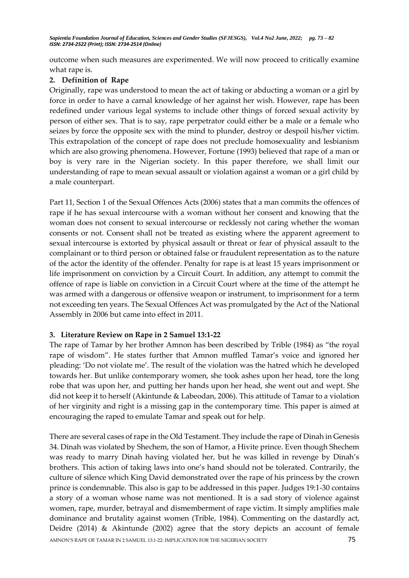outcome when such measures are experimented. We will now proceed to critically examine what rape is.

# **2. Definition of Rape**

Originally, rape was understood to mean the act of taking or abducting a woman or a girl by force in order to have a carnal knowledge of her against her wish. However, rape has been redefined under various legal systems to include other things of forced sexual activity by person of either sex. That is to say, rape perpetrator could either be a male or a female who seizes by force the opposite sex with the mind to plunder, destroy or despoil his/her victim. This extrapolation of the concept of rape does not preclude homosexuality and lesbianism which are also growing phenomena. However, Fortune (1993) believed that rape of a man or boy is very rare in the Nigerian society. In this paper therefore, we shall limit our understanding of rape to mean sexual assault or violation against a woman or a girl child by a male counterpart.

Part 11, Section 1 of the Sexual Offences Acts (2006) states that a man commits the offences of rape if he has sexual intercourse with a woman without her consent and knowing that the woman does not consent to sexual intercourse or recklessly not caring whether the woman consents or not. Consent shall not be treated as existing where the apparent agreement to sexual intercourse is extorted by physical assault or threat or fear of physical assault to the complainant or to third person or obtained false or fraudulent representation as to the nature of the actor the identity of the offender. Penalty for rape is at least 15 years imprisonment or life imprisonment on conviction by a Circuit Court. In addition, any attempt to commit the offence of rape is liable on conviction in a Circuit Court where at the time of the attempt he was armed with a dangerous or offensive weapon or instrument, to imprisonment for a term not exceeding ten years. The Sexual Offences Act was promulgated by the Act of the National Assembly in 2006 but came into effect in 2011.

# **3. Literature Review on Rape in 2 Samuel 13:1-22**

The rape of Tamar by her brother Amnon has been described by Trible (1984) as "the royal rape of wisdom". He states further that Amnon muffled Tamar's voice and ignored her pleading: 'Do not violate me'. The result of the violation was the hatred which he developed towards her. But unlike contemporary women, she took ashes upon her head, tore the long robe that was upon her, and putting her hands upon her head, she went out and wept. She did not keep it to herself (Akintunde & Labeodan, 2006). This attitude of Tamar to a violation of her virginity and right is a missing gap in the contemporary time. This paper is aimed at encouraging the raped to emulate Tamar and speak out for help.

AMNON'S RAPE OF TAMAR IN 2 SAMUEL 13:1-22: IMPLICATION FOR THE NIGERIAN SOCIETY **75** There are several cases of rape in the Old Testament. They include the rape of Dinah in Genesis 34. Dinah was violated by Shechem, the son of Hamor, a Hivite prince. Even though Shechem was ready to marry Dinah having violated her, but he was killed in revenge by Dinah's brothers. This action of taking laws into one's hand should not be tolerated. Contrarily, the culture of silence which King David demonstrated over the rape of his princess by the crown prince is condemnable. This also is gap to be addressed in this paper. Judges 19:1-30 contains a story of a woman whose name was not mentioned. It is a sad story of violence against women, rape, murder, betrayal and dismemberment of rape victim. It simply amplifies male dominance and brutality against women (Trible, 1984). Commenting on the dastardly act, Deidre (2014) & Akintunde (2002) agree that the story depicts an account of female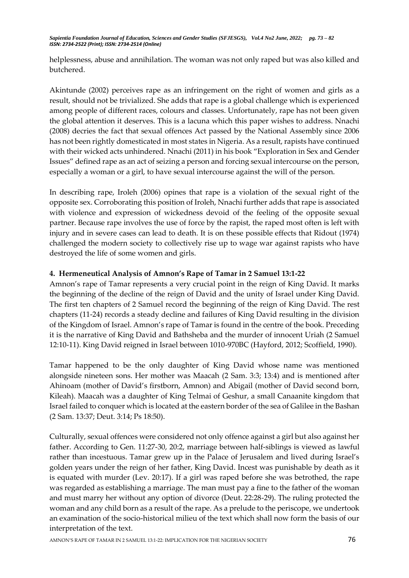helplessness, abuse and annihilation. The woman was not only raped but was also killed and butchered.

Akintunde (2002) perceives rape as an infringement on the right of women and girls as a result, should not be trivialized. She adds that rape is a global challenge which is experienced among people of different races, colours and classes. Unfortunately, rape has not been given the global attention it deserves. This is a lacuna which this paper wishes to address. Nnachi (2008) decries the fact that sexual offences Act passed by the National Assembly since 2006 has not been rightly domesticated in most states in Nigeria. As a result, rapists have continued with their wicked acts unhindered. Nnachi (2011) in his book "Exploration in Sex and Gender Issues" defined rape as an act of seizing a person and forcing sexual intercourse on the person, especially a woman or a girl, to have sexual intercourse against the will of the person.

In describing rape, Iroleh (2006) opines that rape is a violation of the sexual right of the opposite sex. Corroborating this position of Iroleh, Nnachi further adds that rape is associated with violence and expression of wickedness devoid of the feeling of the opposite sexual partner. Because rape involves the use of force by the rapist, the raped most often is left with injury and in severe cases can lead to death. It is on these possible effects that Ridout (1974) challenged the modern society to collectively rise up to wage war against rapists who have destroyed the life of some women and girls.

## **4. Hermeneutical Analysis of Amnon's Rape of Tamar in 2 Samuel 13:1-22**

Amnon's rape of Tamar represents a very crucial point in the reign of King David. It marks the beginning of the decline of the reign of David and the unity of Israel under King David. The first ten chapters of 2 Samuel record the beginning of the reign of King David. The rest chapters (11-24) records a steady decline and failures of King David resulting in the division of the Kingdom of Israel. Amnon's rape of Tamar is found in the centre of the book. Preceding it is the narrative of King David and Bathsheba and the murder of innocent Uriah (2 Samuel 12:10-11). King David reigned in Israel between 1010-970BC (Hayford, 2012; Scoffield, 1990).

Tamar happened to be the only daughter of King David whose name was mentioned alongside nineteen sons. Her mother was Maacah (2 Sam. 3:3; 13:4) and is mentioned after Ahinoam (mother of David's firstborn, Amnon) and Abigail (mother of David second born, Kileah). Maacah was a daughter of King Telmai of Geshur, a small Canaanite kingdom that Israel failed to conquer which is located at the eastern border of the sea of Galilee in the Bashan (2 Sam. 13:37; Deut. 3:14; Ps 18:50).

Culturally, sexual offences were considered not only offence against a girl but also against her father. According to Gen. 11:27-30, 20:2, marriage between half-siblings is viewed as lawful rather than incestuous. Tamar grew up in the Palace of Jerusalem and lived during Israel's golden years under the reign of her father, King David. Incest was punishable by death as it is equated with murder (Lev. 20:17). If a girl was raped before she was betrothed, the rape was regarded as establishing a marriage. The man must pay a fine to the father of the woman and must marry her without any option of divorce (Deut. 22:28-29). The ruling protected the woman and any child born as a result of the rape. As a prelude to the periscope, we undertook an examination of the socio-historical milieu of the text which shall now form the basis of our interpretation of the text.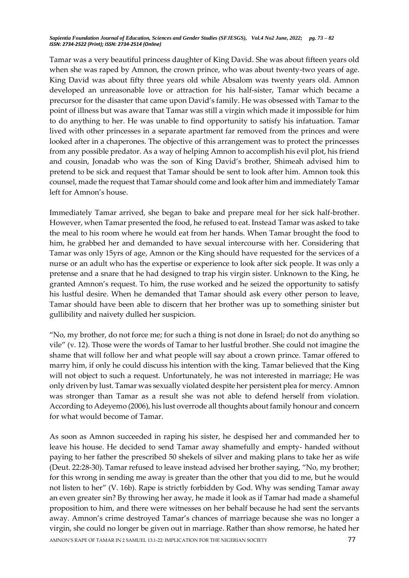Tamar was a very beautiful princess daughter of King David. She was about fifteen years old when she was raped by Amnon, the crown prince, who was about twenty-two years of age. King David was about fifty three years old while Absalom was twenty years old. Amnon developed an unreasonable love or attraction for his half-sister, Tamar which became a precursor for the disaster that came upon David's family. He was obsessed with Tamar to the point of illness but was aware that Tamar was still a virgin which made it impossible for him to do anything to her. He was unable to find opportunity to satisfy his infatuation. Tamar lived with other princesses in a separate apartment far removed from the princes and were looked after in a chaperones. The objective of this arrangement was to protect the princesses from any possible predator. As a way of helping Amnon to accomplish his evil plot, his friend and cousin, Jonadab who was the son of King David's brother, Shimeah advised him to pretend to be sick and request that Tamar should be sent to look after him. Amnon took this counsel, made the request that Tamar should come and look after him and immediately Tamar left for Amnon's house.

Immediately Tamar arrived, she began to bake and prepare meal for her sick half-brother. However, when Tamar presented the food, he refused to eat. Instead Tamar was asked to take the meal to his room where he would eat from her hands. When Tamar brought the food to him, he grabbed her and demanded to have sexual intercourse with her. Considering that Tamar was only 15yrs of age, Amnon or the King should have requested for the services of a nurse or an adult who has the expertise or experience to look after sick people. It was only a pretense and a snare that he had designed to trap his virgin sister. Unknown to the King, he granted Amnon's request. To him, the ruse worked and he seized the opportunity to satisfy his lustful desire. When he demanded that Tamar should ask every other person to leave, Tamar should have been able to discern that her brother was up to something sinister but gullibility and naivety dulled her suspicion.

"No, my brother, do not force me; for such a thing is not done in Israel; do not do anything so vile" (v. 12). Those were the words of Tamar to her lustful brother. She could not imagine the shame that will follow her and what people will say about a crown prince. Tamar offered to marry him, if only he could discuss his intention with the king. Tamar believed that the King will not object to such a request. Unfortunately, he was not interested in marriage; He was only driven by lust. Tamar was sexually violated despite her persistent plea for mercy. Amnon was stronger than Tamar as a result she was not able to defend herself from violation. According to Adeyemo (2006), his lust overrode all thoughts about family honour and concern for what would become of Tamar.

AMNON'S RAPE OF TAMAR IN 2 SAMUEL 13:1-22: IMPLICATION FOR THE NIGERIAN SOCIETY **77** As soon as Amnon succeeded in raping his sister, he despised her and commanded her to leave his house. He decided to send Tamar away shamefully and empty- handed without paying to her father the prescribed 50 shekels of silver and making plans to take her as wife (Deut. 22:28-30). Tamar refused to leave instead advised her brother saying, "No, my brother; for this wrong in sending me away is greater than the other that you did to me, but he would not listen to her" (V. 16b). Rape is strictly forbidden by God. Why was sending Tamar away an even greater sin? By throwing her away, he made it look as if Tamar had made a shameful proposition to him, and there were witnesses on her behalf because he had sent the servants away. Amnon's crime destroyed Tamar's chances of marriage because she was no longer a virgin, she could no longer be given out in marriage. Rather than show remorse, he hated her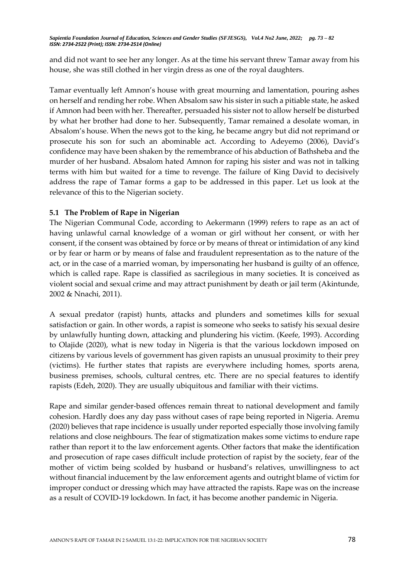and did not want to see her any longer. As at the time his servant threw Tamar away from his house, she was still clothed in her virgin dress as one of the royal daughters.

Tamar eventually left Amnon's house with great mourning and lamentation, pouring ashes on herself and rending her robe. When Absalom saw his sister in such a pitiable state, he asked if Amnon had been with her. Thereafter, persuaded his sister not to allow herself be disturbed by what her brother had done to her. Subsequently, Tamar remained a desolate woman, in Absalom's house. When the news got to the king, he became angry but did not reprimand or prosecute his son for such an abominable act. According to Adeyemo (2006), David's confidence may have been shaken by the remembrance of his abduction of Bathsheba and the murder of her husband. Absalom hated Amnon for raping his sister and was not in talking terms with him but waited for a time to revenge. The failure of King David to decisively address the rape of Tamar forms a gap to be addressed in this paper. Let us look at the relevance of this to the Nigerian society.

## **5.1 The Problem of Rape in Nigerian**

The Nigerian Communal Code, according to Aekermann (1999) refers to rape as an act of having unlawful carnal knowledge of a woman or girl without her consent, or with her consent, if the consent was obtained by force or by means of threat or intimidation of any kind or by fear or harm or by means of false and fraudulent representation as to the nature of the act, or in the case of a married woman, by impersonating her husband is guilty of an offence, which is called rape. Rape is classified as sacrilegious in many societies. It is conceived as violent social and sexual crime and may attract punishment by death or jail term (Akintunde, 2002 & Nnachi, 2011).

A sexual predator (rapist) hunts, attacks and plunders and sometimes kills for sexual satisfaction or gain. In other words, a rapist is someone who seeks to satisfy his sexual desire by unlawfully hunting down, attacking and plundering his victim. (Keefe, 1993). According to Olajide (2020), what is new today in Nigeria is that the various lockdown imposed on citizens by various levels of government has given rapists an unusual proximity to their prey (victims). He further states that rapists are everywhere including homes, sports arena, business premises, schools, cultural centres, etc. There are no special features to identify rapists (Edeh, 2020). They are usually ubiquitous and familiar with their victims.

Rape and similar gender-based offences remain threat to national development and family cohesion. Hardly does any day pass without cases of rape being reported in Nigeria. Aremu (2020) believes that rape incidence is usually under reported especially those involving family relations and close neighbours. The fear of stigmatization makes some victims to endure rape rather than report it to the law enforcement agents. Other factors that make the identification and prosecution of rape cases difficult include protection of rapist by the society, fear of the mother of victim being scolded by husband or husband's relatives, unwillingness to act without financial inducement by the law enforcement agents and outright blame of victim for improper conduct or dressing which may have attracted the rapists. Rape was on the increase as a result of COVID-19 lockdown. In fact, it has become another pandemic in Nigeria.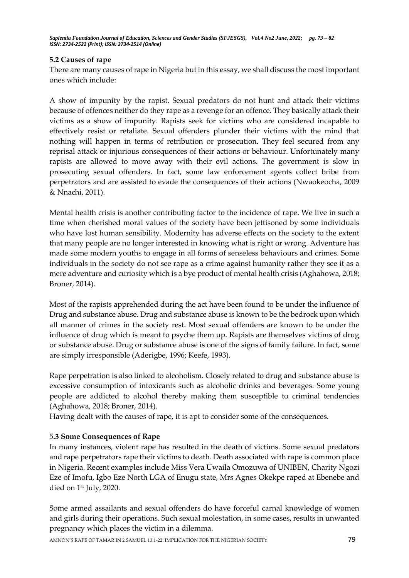# **5.2 Causes of rape**

There are many causes of rape in Nigeria but in this essay, we shall discuss the most important ones which include:

A show of impunity by the rapist. Sexual predators do not hunt and attack their victims because of offences neither do they rape as a revenge for an offence. They basically attack their victims as a show of impunity. Rapists seek for victims who are considered incapable to effectively resist or retaliate. Sexual offenders plunder their victims with the mind that nothing will happen in terms of retribution or prosecution. They feel secured from any reprisal attack or injurious consequences of their actions or behaviour. Unfortunately many rapists are allowed to move away with their evil actions. The government is slow in prosecuting sexual offenders. In fact, some law enforcement agents collect bribe from perpetrators and are assisted to evade the consequences of their actions (Nwaokeocha, 2009 & Nnachi, 2011).

Mental health crisis is another contributing factor to the incidence of rape. We live in such a time when cherished moral values of the society have been jettisoned by some individuals who have lost human sensibility. Modernity has adverse effects on the society to the extent that many people are no longer interested in knowing what is right or wrong. Adventure has made some modern youths to engage in all forms of senseless behaviours and crimes. Some individuals in the society do not see rape as a crime against humanity rather they see it as a mere adventure and curiosity which is a bye product of mental health crisis (Aghahowa, 2018; Broner, 2014).

Most of the rapists apprehended during the act have been found to be under the influence of Drug and substance abuse. Drug and substance abuse is known to be the bedrock upon which all manner of crimes in the society rest. Most sexual offenders are known to be under the influence of drug which is meant to psyche them up. Rapists are themselves victims of drug or substance abuse. Drug or substance abuse is one of the signs of family failure. In fact, some are simply irresponsible (Aderigbe, 1996; Keefe, 1993).

Rape perpetration is also linked to alcoholism. Closely related to drug and substance abuse is excessive consumption of intoxicants such as alcoholic drinks and beverages. Some young people are addicted to alcohol thereby making them susceptible to criminal tendencies (Aghahowa, 2018; Broner, 2014).

Having dealt with the causes of rape, it is apt to consider some of the consequences.

## 5**.3 Some Consequences of Rape**

In many instances, violent rape has resulted in the death of victims. Some sexual predators and rape perpetrators rape their victims to death. Death associated with rape is common place in Nigeria. Recent examples include Miss Vera Uwaila Omozuwa of UNIBEN, Charity Ngozi Eze of Imofu, Igbo Eze North LGA of Enugu state, Mrs Agnes Okekpe raped at Ebenebe and died on 1st July, 2020.

Some armed assailants and sexual offenders do have forceful carnal knowledge of women and girls during their operations. Such sexual molestation, in some cases, results in unwanted pregnancy which places the victim in a dilemma.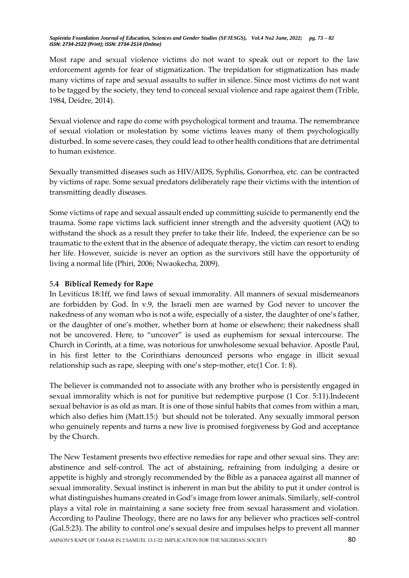Most rape and sexual violence victims do not want to speak out or report to the law enforcement agents for fear of stigmatization. The trepidation for stigmatization has made many victims of rape and sexual assaults to suffer in silence. Since most victims do not want to be tagged by the society, they tend to conceal sexual violence and rape against them (Trible, 1984, Deidre, 2014).

Sexual violence and rape do come with psychological torment and trauma. The remembrance of sexual violation or molestation by some victims leaves many of them psychologically disturbed. In some severe cases, they could lead to other health conditions that are detrimental to human existence.

Sexually transmitted diseases such as HIV/AIDS, Syphilis, Gonorrhea, etc. can be contracted by victims of rape. Some sexual predators deliberately rape their victims with the intention of transmitting deadly diseases.

Some victims of rape and sexual assault ended up committing suicide to permanently end the trauma. Some rape victims lack sufficient inner strength and the adversity quotient (AQ) to withstand the shock as a result they prefer to take their life. Indeed, the experience can be so traumatic to the extent that in the absence of adequate therapy, the victim can resort to ending her life. However, suicide is never an option as the survivors still have the opportunity of living a normal life (Phiri, 2006; Nwaokecha, 2009).

# 5**.4 Biblical Remedy for Rape**

In Leviticus 18:1ff, we find laws of sexual immorality. All manners of sexual misdemeanors are forbidden by God. In v.9, the Israeli men are warned by God never to uncover the nakedness of any woman who is not a wife, especially of a sister, the daughter of one's father, or the daughter of one's mother, whether born at home or elsewhere; their nakedness shall not be uncovered. Here, to "uncover" is used as euphemism for sexual intercourse. The Church in Corinth, at a time, was notorious for unwholesome sexual behavior. Apostle Paul, in his first letter to the Corinthians denounced persons who engage in illicit sexual relationship such as rape, sleeping with one's step-mother, etc(1 Cor. 1: 8).

The believer is commanded not to associate with any brother who is persistently engaged in sexual immorality which is not for punitive but redemptive purpose (1 Cor. 5:11).Indecent sexual behavior is as old as man. It is one of those sinful habits that comes from within a man, which also defies him (Matt.15:) but should not be tolerated. Any sexually immoral person who genuinely repents and turns a new live is promised forgiveness by God and acceptance by the Church.

AMNON'S RAPE OF TAMAR IN 2 SAMUEL 13:1-22: IMPLICATION FOR THE NIGERIAN SOCIETY **80** The New Testament presents two effective remedies for rape and other sexual sins. They are: abstinence and self-control. The act of abstaining, refraining from indulging a desire or appetite is highly and strongly recommended by the Bible as a panacea against all manner of sexual immorality. Sexual instinct is inherent in man but the ability to put it under control is what distinguishes humans created in God's image from lower animals. Similarly, self-control plays a vital role in maintaining a sane society free from sexual harassment and violation. According to Pauline Theology, there are no laws for any believer who practices self-control (Gal.5:23). The ability to control one's sexual desire and impulses helps to prevent all manner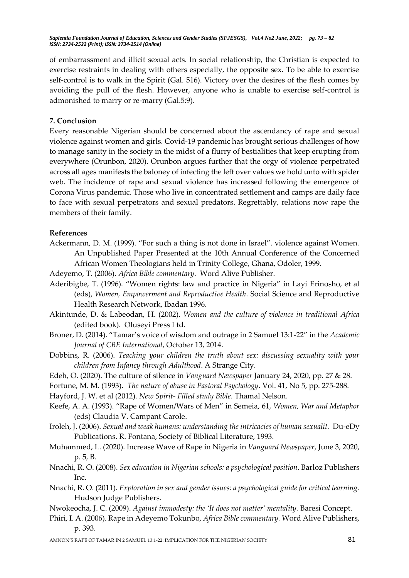of embarrassment and illicit sexual acts. In social relationship, the Christian is expected to exercise restraints in dealing with others especially, the opposite sex. To be able to exercise self-control is to walk in the Spirit (Gal. 516). Victory over the desires of the flesh comes by avoiding the pull of the flesh. However, anyone who is unable to exercise self-control is admonished to marry or re-marry (Gal.5:9).

### **7. Conclusion**

Every reasonable Nigerian should be concerned about the ascendancy of rape and sexual violence against women and girls. Covid-19 pandemic has brought serious challenges of how to manage sanity in the society in the midst of a flurry of bestialities that keep erupting from everywhere (Orunbon, 2020). Orunbon argues further that the orgy of violence perpetrated across all ages manifests the baloney of infecting the left over values we hold unto with spider web. The incidence of rape and sexual violence has increased following the emergence of Corona Virus pandemic. Those who live in concentrated settlement and camps are daily face to face with sexual perpetrators and sexual predators. Regrettably, relations now rape the members of their family.

#### **References**

- Ackermann, D. M. (1999). "For such a thing is not done in Israel". violence against Women. An Unpublished Paper Presented at the 10th Annual Conference of the Concerned African Women Theologians held in Trinity College, Ghana, Odoler, 1999.
- Adeyemo, T. (2006). *Africa Bible commentary*. Word Alive Publisher.
- Aderibigbe, T. (1996). "Women rights: law and practice in Nigeria" in Layi Erinosho, et al (eds), *Women, Empowerment and Reproductive Health*. Social Science and Reproductive Health Research Network, Ibadan 1996.
- Akintunde, D. & Labeodan, H. (2002). *Women and the culture of violence in traditional Africa* (edited book). Oluseyi Press Ltd.
- Broner, D. (2014). "Tamar's voice of wisdom and outrage in 2 Samuel 13:1-22" in the *Academic Journal of CBE International*, October 13, 2014.
- Dobbins, R. (2006). *Teaching your children the truth about sex: discussing sexuality with your children from Infancy through Adulthood*. A Strange City.
- Edeh, O. (2020). The culture of silence in *Vanguard Newspaper* January 24, 2020, pp. 27 & 28.
- Fortune, M. M. (1993). *The nature of abuse in Pastoral Psychology*. Vol. 41, No 5, pp. 275-288.
- Hayford, J. W. et al (2012). *New Spirit- Filled study Bible*. Thamal Nelson.
- Keefe, A. A. (1993). "Rape of Women/Wars of Men" in Semeia, 61, *Women, War and Metaphor* (eds) Claudia V. Campant Carole.
- Iroleh, J. (2006). *Sexual and weak humans: understanding the intricacies of human sexualit.* Du-eDy Publications. R. Fontana, Society of Biblical Literature, 1993.
- Muhammed, L. (2020). Increase Wave of Rape in Nigeria in *Vanguard Newspaper*, June 3, 2020, p. 5, B.
- Nnachi, R. O. (2008). *Sex education in Nigerian schools: a psychological position*. Barloz Publishers Inc.
- Nnachi, R. O. (2011). *Exploration in sex and gender issues: a psychological guide for critical learning.* Hudson Judge Publishers.
- Nwokeocha, J. C. (2009). *Against immodesty: the 'It does not matter' mentality.* Baresi Concept.
- Phiri, I. A. (2006). Rape in Adeyemo Tokunbo, *Africa Bible commentary.* Word Alive Publishers, p. 393.